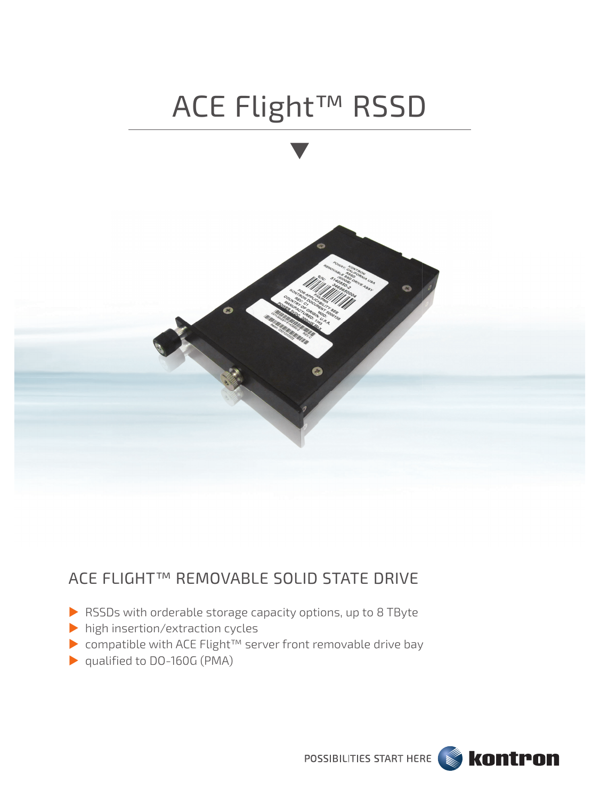

# ACE FLIGHT™ REMOVABLE SOLID STATE DRIVE

- RSSDs with orderable storage capacity options, up to 8 TByte
- high insertion/extraction cycles
- ▶ compatible with ACE Flight<sup>™</sup> server front removable drive bay
- ▶ qualified to DO-160G (PMA)